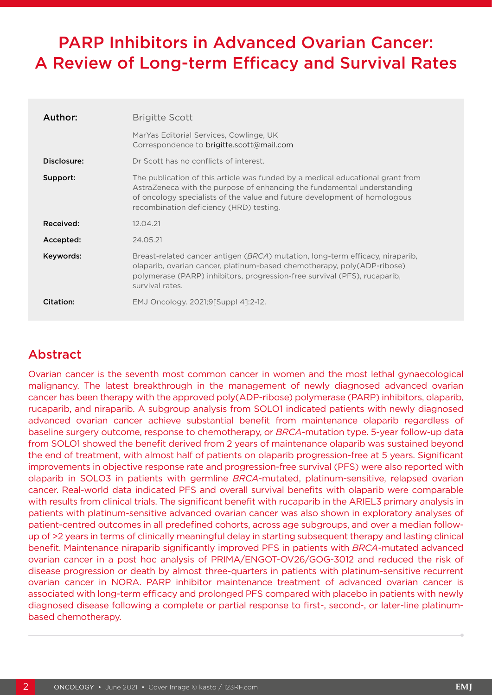# PARP Inhibitors in Advanced Ovarian Cancer: A Review of Long-term Efficacy and Survival Rates

| Author:     | <b>Brigitte Scott</b>                                                                                                                                                                                                                                                             |  |
|-------------|-----------------------------------------------------------------------------------------------------------------------------------------------------------------------------------------------------------------------------------------------------------------------------------|--|
|             |                                                                                                                                                                                                                                                                                   |  |
|             | Mar Yas Editorial Services, Cowlinge, UK<br>Correspondence to brigitte.scott@mail.com                                                                                                                                                                                             |  |
| Disclosure: | Dr Scott has no conflicts of interest.                                                                                                                                                                                                                                            |  |
| Support:    | The publication of this article was funded by a medical educational grant from<br>AstraZeneca with the purpose of enhancing the fundamental understanding<br>of oncology specialists of the value and future development of homologous<br>recombination deficiency (HRD) testing. |  |
| Received:   | 12.04.21                                                                                                                                                                                                                                                                          |  |
| Accepted:   | 24.05.21                                                                                                                                                                                                                                                                          |  |
| Keywords:   | Breast-related cancer antigen (BRCA) mutation, long-term efficacy, niraparib,<br>olaparib, ovarian cancer, platinum-based chemotherapy, poly(ADP-ribose)<br>polymerase (PARP) inhibitors, progression-free survival (PFS), rucaparib,<br>survival rates.                          |  |
| Citation:   | EMJ Oncology. 2021;9[Suppl 4]:2-12.                                                                                                                                                                                                                                               |  |

## Abstract

Ovarian cancer is the seventh most common cancer in women and the most lethal gynaecological malignancy. The latest breakthrough in the management of newly diagnosed advanced ovarian cancer has been therapy with the approved poly(ADP-ribose) polymerase (PARP) inhibitors, olaparib, rucaparib, and niraparib. A subgroup analysis from SOLO1 indicated patients with newly diagnosed advanced ovarian cancer achieve substantial benefit from maintenance olaparib regardless of baseline surgery outcome, response to chemotherapy, or *BRCA*-mutation type. 5-year follow-up data from SOLO1 showed the benefit derived from 2 years of maintenance olaparib was sustained beyond the end of treatment, with almost half of patients on olaparib progression-free at 5 years. Significant improvements in objective response rate and progression-free survival (PFS) were also reported with olaparib in SOLO3 in patients with germline *BRCA*-mutated, platinum-sensitive, relapsed ovarian cancer. Real-world data indicated PFS and overall survival benefits with olaparib were comparable with results from clinical trials. The significant benefit with rucaparib in the ARIEL3 primary analysis in patients with platinum-sensitive advanced ovarian cancer was also shown in exploratory analyses of patient-centred outcomes in all predefined cohorts, across age subgroups, and over a median followup of >2 years in terms of clinically meaningful delay in starting subsequent therapy and lasting clinical benefit. Maintenance niraparib significantly improved PFS in patients with *BRCA*-mutated advanced ovarian cancer in a post hoc analysis of PRIMA/ENGOT-OV26/GOG-3012 and reduced the risk of disease progression or death by almost three-quarters in patients with platinum-sensitive recurrent ovarian cancer in NORA. PARP inhibitor maintenance treatment of advanced ovarian cancer is associated with long-term efficacy and prolonged PFS compared with placebo in patients with newly diagnosed disease following a complete or partial response to first-, second-, or later-line platinumbased chemotherapy.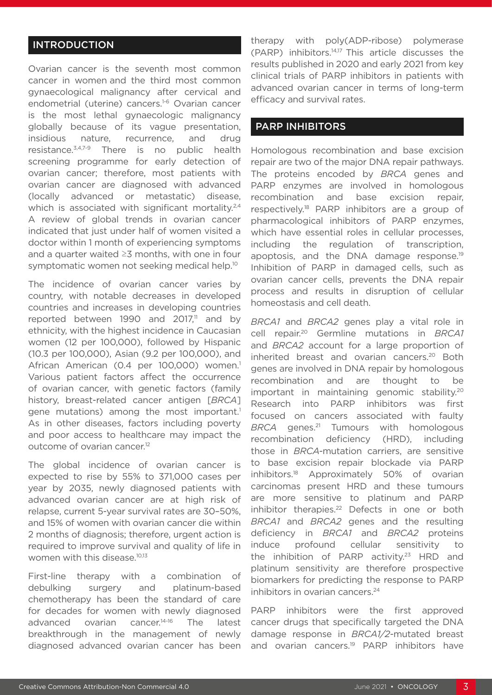## **INTRODUCTION**

Ovarian cancer is the seventh most common cancer in women and the third most common gynaecological malignancy after cervical and endometrial (uterine) cancers.<sup>1-6</sup> Ovarian cancer is the most lethal gynaecologic malignancy globally because of its vague presentation, insidious nature, recurrence, and drug resistance.3,4,7-9 There is no public health screening programme for early detection of ovarian cancer; therefore, most patients with ovarian cancer are diagnosed with advanced (locally advanced or metastatic) disease, which is associated with significant mortality.<sup>2,4</sup> A review of global trends in ovarian cancer indicated that just under half of women visited a doctor within 1 month of experiencing symptoms and a quarter waited  $\geq$ 3 months, with one in four symptomatic women not seeking medical help.<sup>10</sup>

The incidence of ovarian cancer varies by country, with notable decreases in developed countries and increases in developing countries reported between 1990 and  $2017$ ,<sup>11</sup> and by ethnicity, with the highest incidence in Caucasian women (12 per 100,000), followed by Hispanic (10.3 per 100,000), Asian (9.2 per 100,000), and African American (0.4 per 100,000) women.<sup>1</sup> Various patient factors affect the occurrence of ovarian cancer, with genetic factors (family history, breast-related cancer antigen [*BRCA*] gene mutations) among the most important.<sup>1</sup> As in other diseases, factors including poverty and poor access to healthcare may impact the outcome of ovarian cancer.12

The global incidence of ovarian cancer is expected to rise by 55% to 371,000 cases per year by 2035, newly diagnosed patients with advanced ovarian cancer are at high risk of relapse, current 5-year survival rates are 30–50%, and 15% of women with ovarian cancer die within 2 months of diagnosis; therefore, urgent action is required to improve survival and quality of life in women with this disease.<sup>10,13</sup>

First-line therapy with a combination of debulking surgery and platinum-based chemotherapy has been the standard of care for decades for women with newly diagnosed advanced ovarian cancer.14-16 The latest breakthrough in the management of newly diagnosed advanced ovarian cancer has been

therapy with poly(ADP-ribose) polymerase (PARP) inhibitors.14,17 This article discusses the results published in 2020 and early 2021 from key clinical trials of PARP inhibitors in patients with advanced ovarian cancer in terms of long-term efficacy and survival rates.

#### PARP INHIBITORS

Homologous recombination and base excision repair are two of the major DNA repair pathways. The proteins encoded by *BRCA* genes and PARP enzymes are involved in homologous recombination and base excision repair, respectively.18 PARP inhibitors are a group of pharmacological inhibitors of PARP enzymes, which have essential roles in cellular processes, including the regulation of transcription, apoptosis, and the DNA damage response.<sup>19</sup> Inhibition of PARP in damaged cells, such as ovarian cancer cells, prevents the DNA repair process and results in disruption of cellular homeostasis and cell death.

*BRCA1* and *BRCA2* genes play a vital role in cell repair.20 Germline mutations in *BRCA1* and *BRCA2* account for a large proportion of inherited breast and ovarian cancers.<sup>20</sup> Both genes are involved in DNA repair by homologous recombination and are thought to be important in maintaining genomic stability.<sup>20</sup> Research into PARP inhibitors was first focused on cancers associated with faulty *BRCA* genes.21 Tumours with homologous recombination deficiency (HRD), including those in *BRCA-*mutation carriers, are sensitive to base excision repair blockade via PARP inhibitors.18 Approximately 50% of ovarian carcinomas present HRD and these tumours are more sensitive to platinum and PARP inhibitor therapies.<sup>22</sup> Defects in one or both *BRCA1* and *BRCA2* genes and the resulting deficiency in *BRCA1* and *BRCA2* proteins induce profound cellular sensitivity to the inhibition of PARP activity.<sup>23</sup> HRD and platinum sensitivity are therefore prospective biomarkers for predicting the response to PARP inhibitors in ovarian cancers.<sup>24</sup>

PARP inhibitors were the first approved cancer drugs that specifically targeted the DNA damage response in *BRCA1/2*-mutated breast and ovarian cancers.<sup>19</sup> PARP inhibitors have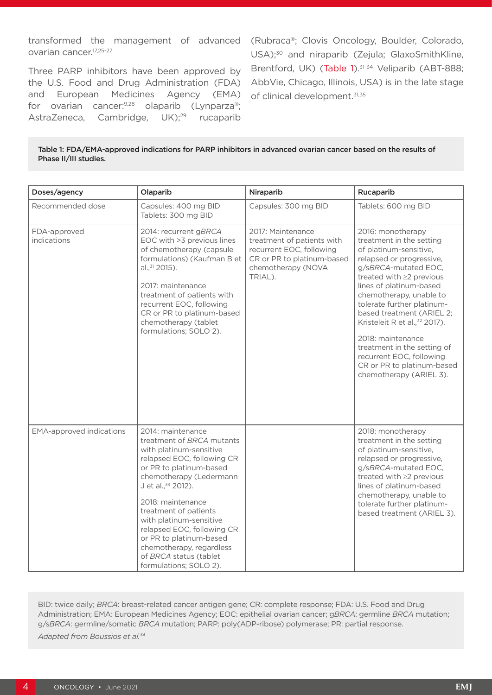transformed the management of advanced (Rubraca®; Clovis Oncology, Boulder, Colorado, ovarian cancer.17,25-27

Three PARP inhibitors have been approved by the U.S. Food and Drug Administration (FDA) and European Medicines Agency (EMA) for ovarian cancer: $9,28$  olaparib (Lynparza®; AstraZeneca, Cambridge, UK);<sup>29</sup> rucaparib

USA);<sup>30</sup> and niraparib (Zejula; GlaxoSmithKline, Brentford, UK) (Table 1).<sup>31-34</sup> Veliparib (ABT-888; AbbVie, Chicago, Illinois, USA) is in the late stage of clinical development.<sup>31,35</sup>

| Table 1: FDA/EMA-approved indications for PARP inhibitors in advanced ovarian cancer based on the results of |
|--------------------------------------------------------------------------------------------------------------|
| Phase II/III studies.                                                                                        |

| Doses/agency                    | Olaparib                                                                                                                                                                                                                                                                                                                                                                                                          | Niraparib                                                                                                                                  | Rucaparib                                                                                                                                                                                                                                                                                                                                                                                                                                                      |
|---------------------------------|-------------------------------------------------------------------------------------------------------------------------------------------------------------------------------------------------------------------------------------------------------------------------------------------------------------------------------------------------------------------------------------------------------------------|--------------------------------------------------------------------------------------------------------------------------------------------|----------------------------------------------------------------------------------------------------------------------------------------------------------------------------------------------------------------------------------------------------------------------------------------------------------------------------------------------------------------------------------------------------------------------------------------------------------------|
| Recommended dose                | Capsules: 400 mg BID<br>Tablets: 300 mg BID                                                                                                                                                                                                                                                                                                                                                                       | Capsules: 300 mg BID                                                                                                                       | Tablets: 600 mg BID                                                                                                                                                                                                                                                                                                                                                                                                                                            |
| FDA-approved<br>indications     | 2014: recurrent gBRCA<br>EOC with >3 previous lines<br>of chemotherapy (capsule<br>formulations) (Kaufman B et<br>al., <sup>31</sup> 2015).<br>2017: maintenance<br>treatment of patients with<br>recurrent EOC, following<br>CR or PR to platinum-based<br>chemotherapy (tablet<br>formulations; SOLO 2).                                                                                                        | 2017: Maintenance<br>treatment of patients with<br>recurrent EOC, following<br>CR or PR to platinum-based<br>chemotherapy (NOVA<br>TRIAL). | 2016: monotherapy<br>treatment in the setting<br>of platinum-sensitive,<br>relapsed or progressive,<br>g/sBRCA-mutated EOC,<br>treated with ≥2 previous<br>lines of platinum-based<br>chemotherapy, unable to<br>tolerate further platinum-<br>based treatment (ARIEL 2;<br>Kristeleit R et al., <sup>32</sup> 2017).<br>2018: maintenance<br>treatment in the setting of<br>recurrent EOC, following<br>CR or PR to platinum-based<br>chemotherapy (ARIEL 3). |
| <b>EMA-approved indications</b> | 2014: maintenance<br>treatment of BRCA mutants<br>with platinum-sensitive<br>relapsed EOC, following CR<br>or PR to platinum-based<br>chemotherapy (Ledermann<br>J et al., <sup>33</sup> 2012).<br>2018: maintenance<br>treatment of patients<br>with platinum-sensitive<br>relapsed EOC, following CR<br>or PR to platinum-based<br>chemotherapy, regardless<br>of BRCA status (tablet<br>formulations; SOLO 2). |                                                                                                                                            | 2018: monotherapy<br>treatment in the setting<br>of platinum-sensitive,<br>relapsed or progressive,<br>g/sBRCA-mutated EOC,<br>treated with ≥2 previous<br>lines of platinum-based<br>chemotherapy, unable to<br>tolerate further platinum-<br>based treatment (ARIEL 3).                                                                                                                                                                                      |

BID: twice daily; *BRCA*: breast-related cancer antigen gene; CR: complete response; FDA: U.S. Food and Drug Administration; EMA: European Medicines Agency; EOC: epithelial ovarian cancer; g*BRCA*: germline *BRCA* mutation; g/s*BRCA*: germline/somatic *BRCA* mutation; PARP: poly(ADP-ribose) polymerase; PR: partial response. *Adapted from Boussios et al.34*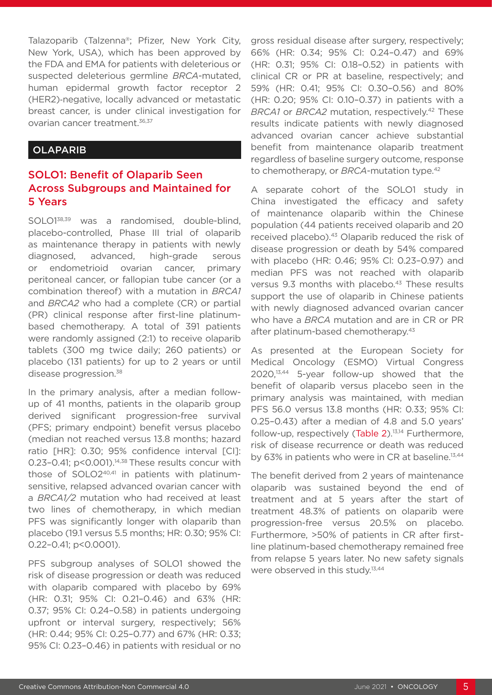Talazoparib (Talzenna<sup>®</sup>; Pfizer, New York City, New York, USA), which has been approved by the FDA and EMA for patients with deleterious or suspected deleterious germline *BRCA*-mutated, human epidermal growth factor receptor 2 (HER2)‑negative, locally advanced or metastatic breast cancer, is under clinical investigation for ovarian cancer treatment.<sup>36,37</sup>

#### **OLAPARIB**

## SOLO1: Benefit of Olaparib Seen Across Subgroups and Maintained for 5 Years

SOLO138,39 was a randomised, double-blind, placebo-controlled, Phase III trial of olaparib as maintenance therapy in patients with newly diagnosed, advanced, high-grade serous or endometrioid ovarian cancer, primary peritoneal cancer, or fallopian tube cancer (or a combination thereof) with a mutation in *BRCA1* and *BRCA2* who had a complete (CR) or partial (PR) clinical response after first-line platinumbased chemotherapy. A total of 391 patients were randomly assigned (2:1) to receive olaparib tablets (300 mg twice daily; 260 patients) or placebo (131 patients) for up to 2 years or until disease progression.38

In the primary analysis, after a median followup of 41 months, patients in the olaparib group derived significant progression-free survival (PFS; primary endpoint) benefit versus placebo (median not reached versus 13.8 months; hazard ratio [HR]: 0.30; 95% confidence interval [CI]: 0.23-0.41; p<0.001).<sup>14,38</sup> These results concur with those of SOLO240,41 in patients with platinumsensitive, relapsed advanced ovarian cancer with a *BRCA1/2* mutation who had received at least two lines of chemotherapy, in which median PFS was significantly longer with olaparib than placebo (19.1 versus 5.5 months; HR: 0.30; 95% CI: 0.22–0.41; p<0.0001).

PFS subgroup analyses of SOLO1 showed the risk of disease progression or death was reduced with olaparib compared with placebo by 69% (HR: 0.31; 95% CI: 0.21–0.46) and 63% (HR: 0.37; 95% CI: 0.24–0.58) in patients undergoing upfront or interval surgery, respectively; 56% (HR: 0.44; 95% CI: 0.25–0.77) and 67% (HR: 0.33; 95% CI: 0.23–0.46) in patients with residual or no

gross residual disease after surgery, respectively; 66% (HR: 0.34; 95% CI: 0.24–0.47) and 69% (HR: 0.31; 95% CI: 0.18–0.52) in patients with clinical CR or PR at baseline, respectively; and 59% (HR: 0.41; 95% CI: 0.30–0.56) and 80% (HR: 0.20; 95% CI: 0.10–0.37) in patients with a *BRCA1* or *BRCA2* mutation, respectively.42 These results indicate patients with newly diagnosed advanced ovarian cancer achieve substantial benefit from maintenance olaparib treatment regardless of baseline surgery outcome, response to chemotherapy, or *BRCA*-mutation type.42

A separate cohort of the SOLO1 study in China investigated the efficacy and safety of maintenance olaparib within the Chinese population (44 patients received olaparib and 20 received placebo).<sup>43</sup> Olaparib reduced the risk of disease progression or death by 54% compared with placebo (HR: 0.46; 95% Cl: 0.23–0.97) and median PFS was not reached with olaparib versus 9.3 months with placebo.<sup>43</sup> These results support the use of olaparib in Chinese patients with newly diagnosed advanced ovarian cancer who have a *BRCA* mutation and are in CR or PR after platinum-based chemotherapy.<sup>43</sup>

As presented at the European Society for Medical Oncology (ESMO) Virtual Congress 2020,13,44 5-year follow-up showed that the benefit of olaparib versus placebo seen in the primary analysis was maintained, with median PFS 56.0 versus 13.8 months (HR: 0.33; 95% CI: 0.25–0.43) after a median of 4.8 and 5.0 years' follow-up, respectively (Table 2).<sup>13,14</sup> Furthermore, risk of disease recurrence or death was reduced by 63% in patients who were in CR at baseline.<sup>13,44</sup>

The benefit derived from 2 years of maintenance olaparib was sustained beyond the end of treatment and at 5 years after the start of treatment 48.3% of patients on olaparib were progression-free versus 20.5% on placebo. Furthermore, >50% of patients in CR after firstline platinum-based chemotherapy remained free from relapse 5 years later. No new safety signals were observed in this study.<sup>13,44</sup>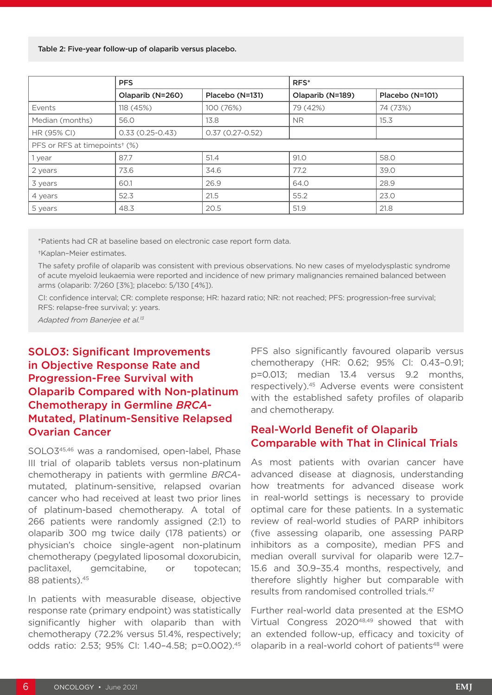Table 2: Five-year follow-up of olaparib versus placebo.

|                                           | <b>PFS</b>          |                   | RFS*             |                 |  |  |  |
|-------------------------------------------|---------------------|-------------------|------------------|-----------------|--|--|--|
|                                           | Olaparib (N=260)    | Placebo (N=131)   | Olaparib (N=189) | Placebo (N=101) |  |  |  |
| Events                                    | 118 (45%)           | 100 (76%)         | 79 (42%)         | 74 (73%)        |  |  |  |
| Median (months)                           | 56.0                | 13.8              | <b>NR</b>        | 15.3            |  |  |  |
| HR (95% CI)                               | $0.33(0.25 - 0.43)$ | $0.37(0.27-0.52)$ |                  |                 |  |  |  |
| PFS or RFS at timepoints <sup>+</sup> (%) |                     |                   |                  |                 |  |  |  |
| 1 year                                    | 87.7                | 51.4              | 91.0             | 58.0            |  |  |  |
| 2 years                                   | 73.6                | 34.6              | 77.2             | 39.0            |  |  |  |
| 3 years                                   | 60.1                | 26.9              | 64.0             | 28.9            |  |  |  |
| 4 years                                   | 52.3                | 21.5              | 55.2             | 23.0            |  |  |  |
| 5 years                                   | 48.3                | 20.5              | 51.9             | 21.8            |  |  |  |

\*Patients had CR at baseline based on electronic case report form data.

†Kaplan–Meier estimates.

The safety profile of olaparib was consistent with previous observations. No new cases of myelodysplastic syndrome of acute myeloid leukaemia were reported and incidence of new primary malignancies remained balanced between arms (olaparib: 7/260 [3%]; placebo: 5/130 [4%]).

CI: confidence interval; CR: complete response; HR: hazard ratio; NR: not reached; PFS: progression-free survival; RFS: relapse-free survival; y: years.

*Adapted from Banerjee et al.13* 

## SOLO3: Significant Improvements in Objective Response Rate and Progression-Free Survival with Olaparib Compared with Non-platinum Chemotherapy in Germline *BRCA-*Mutated, Platinum-Sensitive Relapsed Ovarian Cancer

SOLO345,46 was a randomised, open-label, Phase III trial of olaparib tablets versus non-platinum chemotherapy in patients with germline *BRCA*mutated, platinum-sensitive, relapsed ovarian cancer who had received at least two prior lines of platinum-based chemotherapy. A total of 266 patients were randomly assigned (2:1) to olaparib 300 mg twice daily (178 patients) or physician's choice single-agent non-platinum chemotherapy (pegylated liposomal doxorubicin, paclitaxel, gemcitabine, or topotecan; 88 patients).45

In patients with measurable disease, objective response rate (primary endpoint) was statistically significantly higher with olaparib than with chemotherapy (72.2% versus 51.4%, respectively; odds ratio: 2.53; 95% CI: 1.40–4.58; p=0.002).45

PFS also significantly favoured olaparib versus chemotherapy (HR: 0.62; 95% CI: 0.43–0.91; p=0.013; median 13.4 versus 9.2 months, respectively).45 Adverse events were consistent with the established safety profiles of olaparib and chemotherapy.

## Real-World Benefit of Olaparib Comparable with That in Clinical Trials

As most patients with ovarian cancer have advanced disease at diagnosis, understanding how treatments for advanced disease work in real-world settings is necessary to provide optimal care for these patients. In a systematic review of real-world studies of PARP inhibitors (five assessing olaparib, one assessing PARP inhibitors as a composite), median PFS and median overall survival for olaparib were 12.7– 15.6 and 30.9–35.4 months, respectively, and therefore slightly higher but comparable with results from randomised controlled trials.47

Further real-world data presented at the ESMO Virtual Congress 202048,49 showed that with an extended follow-up, efficacy and toxicity of olaparib in a real-world cohort of patients<sup>48</sup> were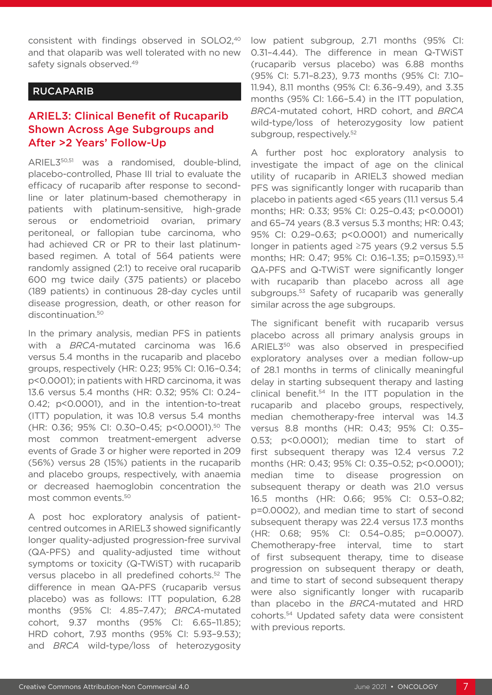consistent with findings observed in SOLO2,40 and that olaparib was well tolerated with no new safety signals observed.<sup>49</sup>

#### RUCAPARIB

## ARIEL3: Clinical Benefit of Rucaparib Shown Across Age Subgroups and After >2 Years' Follow-Up

ARIEL350,51 was a randomised, double-blind, placebo-controlled, Phase III trial to evaluate the efficacy of rucaparib after response to secondline or later platinum-based chemotherapy in patients with platinum-sensitive, high-grade serous or endometrioid ovarian, primary peritoneal, or fallopian tube carcinoma, who had achieved CR or PR to their last platinumbased regimen. A total of 564 patients were randomly assigned (2:1) to receive oral rucaparib 600 mg twice daily (375 patients) or placebo (189 patients) in continuous 28-day cycles until disease progression, death, or other reason for discontinuation.<sup>50</sup>

In the primary analysis, median PFS in patients with a *BRCA*-mutated carcinoma was 16.6 versus 5.4 months in the rucaparib and placebo groups, respectively (HR: 0.23; 95% CI: 0.16–0.34; p<0.0001); in patients with HRD carcinoma, it was 13.6 versus 5.4 months (HR: 0.32; 95% CI: 0.24– 0.42; p<0.0001), and in the intention-to-treat (ITT) population, it was 10.8 versus 5.4 months (HR: 0.36; 95% CI: 0.30–0.45; p<0.0001).50 The most common treatment-emergent adverse events of Grade 3 or higher were reported in 209 (56%) versus 28 (15%) patients in the rucaparib and placebo groups, respectively, with anaemia or decreased haemoglobin concentration the most common events.50

A post hoc exploratory analysis of patientcentred outcomes in ARIEL3 showed significantly longer quality-adjusted progression-free survival (QA-PFS) and quality-adjusted time without symptoms or toxicity (Q-TWiST) with rucaparib versus placebo in all predefined cohorts.52 The difference in mean QA-PFS (rucaparib versus placebo) was as follows: ITT population, 6.28 months (95% CI: 4.85–7.47); *BRCA*-mutated cohort, 9.37 months (95% CI: 6.65–11.85); HRD cohort, 7.93 months (95% CI: 5.93–9.53); and *BRCA* wild-type/loss of heterozygosity low patient subgroup, 2.71 months (95% CI: 0.31–4.44). The difference in mean Q-TWiST (rucaparib versus placebo) was 6.88 months (95% CI: 5.71–8.23), 9.73 months (95% CI: 7.10– 11.94), 8.11 months (95% CI: 6.36–9.49), and 3.35 months (95% CI: 1.66–5.4) in the ITT population, *BRCA*-mutated cohort, HRD cohort, and *BRCA* wild-type/loss of heterozygosity low patient subgroup, respectively.<sup>52</sup>

A further post hoc exploratory analysis to investigate the impact of age on the clinical utility of rucaparib in ARIEL3 showed median PFS was significantly longer with rucaparib than placebo in patients aged <65 years (11.1 versus 5.4 months; HR: 0.33; 95% CI: 0.25–0.43; p<0.0001) and 65–74 years (8.3 versus 5.3 months; HR: 0.43; 95% CI: 0.29–0.63; p<0.0001) and numerically longer in patients aged ≥75 years (9.2 versus 5.5 months; HR: 0.47; 95% CI: 0.16-1.35; p=0.1593).<sup>53</sup> QA-PFS and Q-TWiST were significantly longer with rucaparib than placebo across all age subgroups.<sup>53</sup> Safety of rucaparib was generally similar across the age subgroups.

The significant benefit with rucaparib versus placebo across all primary analysis groups in ARIEL350 was also observed in prespecified exploratory analyses over a median follow-up of 28.1 months in terms of clinically meaningful delay in starting subsequent therapy and lasting clinical benefit.<sup>54</sup> In the ITT population in the rucaparib and placebo groups, respectively, median chemotherapy-free interval was 14.3 versus 8.8 months (HR: 0.43; 95% CI: 0.35– 0.53; p<0.0001); median time to start of first subsequent therapy was 12.4 versus 7.2 months (HR: 0.43; 95% CI: 0.35–0.52; p<0.0001); median time to disease progression on subsequent therapy or death was 21.0 versus 16.5 months (HR: 0.66; 95% CI: 0.53–0.82; p=0.0002), and median time to start of second subsequent therapy was 22.4 versus 17.3 months (HR: 0.68; 95% CI: 0.54–0.85; p=0.0007). Chemotherapy-free interval, time to start of first subsequent therapy, time to disease progression on subsequent therapy or death, and time to start of second subsequent therapy were also significantly longer with rucaparib than placebo in the *BRCA*-mutated and HRD cohorts.54 Updated safety data were consistent with previous reports.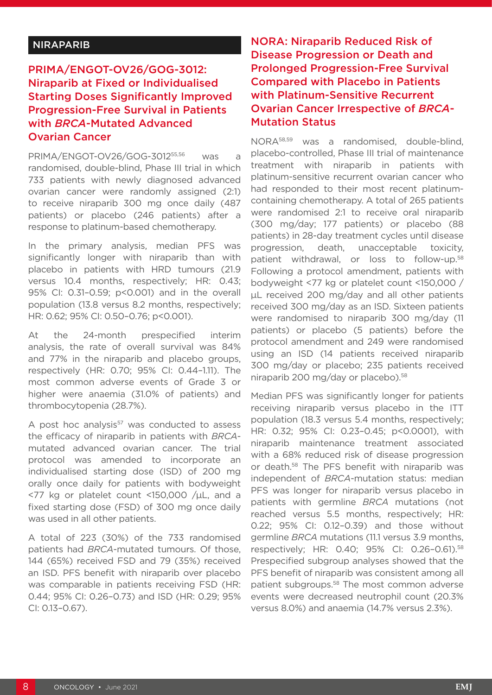#### NIRAPARIB

## PRIMA/ENGOT-OV26/GOG-3012: Niraparib at Fixed or Individualised Starting Doses Significantly Improved Progression-Free Survival in Patients with *BRCA*-Mutated Advanced Ovarian Cancer

PRIMA/ENGOT-OV26/GOG-3012<sup>55,56</sup> was a randomised, double-blind, Phase III trial in which 733 patients with newly diagnosed advanced ovarian cancer were randomly assigned (2:1) to receive niraparib 300 mg once daily (487 patients) or placebo (246 patients) after a response to platinum-based chemotherapy.

In the primary analysis, median PFS was significantly longer with niraparib than with placebo in patients with HRD tumours (21.9 versus 10.4 months, respectively; HR: 0.43; 95% CI: 0.31–0.59; p<0.001) and in the overall population (13.8 versus 8.2 months, respectively; HR: 0.62; 95% CI: 0.50–0.76; p<0.001).

At the 24-month prespecified interim analysis, the rate of overall survival was 84% and 77% in the niraparib and placebo groups, respectively (HR: 0.70; 95% CI: 0.44–1.11). The most common adverse events of Grade 3 or higher were anaemia (31.0% of patients) and thrombocytopenia (28.7%).

A post hoc analysis $57$  was conducted to assess the efficacy of niraparib in patients with *BRCA*mutated advanced ovarian cancer. The trial protocol was amended to incorporate an individualised starting dose (ISD) of 200 mg orally once daily for patients with bodyweight <77 kg or platelet count <150,000 /μL, and a fixed starting dose (FSD) of 300 mg once daily was used in all other patients.

A total of 223 (30%) of the 733 randomised patients had *BRCA*-mutated tumours. Of those, 144 (65%) received FSD and 79 (35%) received an ISD. PFS benefit with niraparib over placebo was comparable in patients receiving FSD (HR: 0.44; 95% CI: 0.26–0.73) and ISD (HR: 0.29; 95% CI: 0.13–0.67).

NORA: Niraparib Reduced Risk of Disease Progression or Death and Prolonged Progression-Free Survival Compared with Placebo in Patients with Platinum-Sensitive Recurrent Ovarian Cancer Irrespective of *BRCA*-Mutation Status

NORA58,59 was a randomised, double-blind, placebo-controlled, Phase III trial of maintenance treatment with niraparib in patients with platinum-sensitive recurrent ovarian cancer who had responded to their most recent platinumcontaining chemotherapy. A total of 265 patients were randomised 2:1 to receive oral niraparib (300 mg/day; 177 patients) or placebo (88 patients) in 28-day treatment cycles until disease progression, death, unacceptable toxicity, patient withdrawal, or loss to follow-up.58 Following a protocol amendment, patients with bodyweight <77 kg or platelet count <150,000 / μL received 200 mg/day and all other patients received 300 mg/day as an ISD. Sixteen patients were randomised to niraparib 300 mg/day (11 patients) or placebo (5 patients) before the protocol amendment and 249 were randomised using an ISD (14 patients received niraparib 300 mg/day or placebo; 235 patients received niraparib 200 mg/day or placebo).<sup>58</sup>

Median PFS was significantly longer for patients receiving niraparib versus placebo in the ITT population (18.3 versus 5.4 months, respectively; HR: 0.32; 95% CI: 0.23–0.45; p<0.0001), with niraparib maintenance treatment associated with a 68% reduced risk of disease progression or death.58 The PFS benefit with niraparib was independent of *BRCA*-mutation status: median PFS was longer for niraparib versus placebo in patients with germline *BRCA* mutations (not reached versus 5.5 months, respectively; HR: 0.22; 95% CI: 0.12–0.39) and those without germline *BRCA* mutations (11.1 versus 3.9 months, respectively; HR: 0.40; 95% CI: 0.26–0.61).58 Prespecified subgroup analyses showed that the PFS benefit of niraparib was consistent among all patient subgroups.58 The most common adverse events were decreased neutrophil count (20.3% versus 8.0%) and anaemia (14.7% versus 2.3%).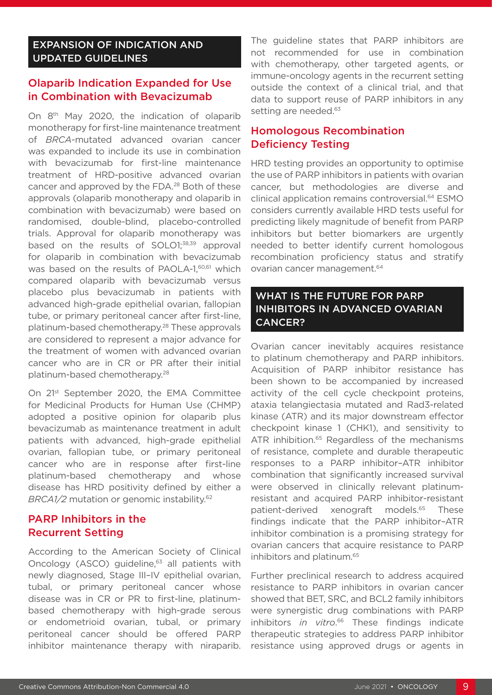#### EXPANSION OF INDICATION AND UPDATED GUIDELINES

## Olaparib Indication Expanded for Use in Combination with Bevacizumab

On 8<sup>th</sup> May 2020, the indication of olaparib monotherapy for first-line maintenance treatment of *BRCA*-mutated advanced ovarian cancer was expanded to include its use in combination with bevacizumab for first-line maintenance treatment of HRD-positive advanced ovarian cancer and approved by the FDA.28 Both of these approvals (olaparib monotherapy and olaparib in combination with bevacizumab) were based on randomised, double-blind, placebo-controlled trials. Approval for olaparib monotherapy was based on the results of SOLO1;<sup>38,39</sup> approval for olaparib in combination with bevacizumab was based on the results of PAOLA-1,<sup>60,61</sup> which compared olaparib with bevacizumab versus placebo plus bevacizumab in patients with advanced high-grade epithelial ovarian, fallopian tube, or primary peritoneal cancer after first-line, platinum-based chemotherapy.28 These approvals are considered to represent a major advance for the treatment of women with advanced ovarian cancer who are in CR or PR after their initial platinum-based chemotherapy.28

On 21st September 2020, the EMA Committee for Medicinal Products for Human Use (CHMP) adopted a positive opinion for olaparib plus bevacizumab as maintenance treatment in adult patients with advanced, high-grade epithelial ovarian, fallopian tube, or primary peritoneal cancer who are in response after first-line platinum-based chemotherapy and whose disease has HRD positivity defined by either a *BRCA1/2* mutation or genomic instability.62

### PARP Inhibitors in the Recurrent Setting

According to the American Society of Clinical Oncology (ASCO) guideline,<sup>63</sup> all patients with newly diagnosed, Stage III–IV epithelial ovarian, tubal, or primary peritoneal cancer whose disease was in CR or PR to first-line, platinumbased chemotherapy with high-grade serous or endometrioid ovarian, tubal, or primary peritoneal cancer should be offered PARP inhibitor maintenance therapy with niraparib.

The guideline states that PARP inhibitors are not recommended for use in combination with chemotherapy, other targeted agents, or immune-oncology agents in the recurrent setting outside the context of a clinical trial, and that data to support reuse of PARP inhibitors in any setting are needed.<sup>63</sup>

## Homologous Recombination Deficiency Testing

HRD testing provides an opportunity to optimise the use of PARP inhibitors in patients with ovarian cancer, but methodologies are diverse and clinical application remains controversial.64 ESMO considers currently available HRD tests useful for predicting likely magnitude of benefit from PARP inhibitors but better biomarkers are urgently needed to better identify current homologous recombination proficiency status and stratify ovarian cancer management.<sup>64</sup>

## WHAT IS THE FUTURE FOR PARP INHIBITORS IN ADVANCED OVARIAN CANCER?

Ovarian cancer inevitably acquires resistance to platinum chemotherapy and PARP inhibitors. Acquisition of PARP inhibitor resistance has been shown to be accompanied by increased activity of the cell cycle checkpoint proteins, ataxia telangiectasia mutated and Rad3-related kinase (ATR) and its major downstream effector checkpoint kinase 1 (CHK1), and sensitivity to ATR inhibition.<sup>65</sup> Regardless of the mechanisms of resistance, complete and durable therapeutic responses to a PARP inhibitor–ATR inhibitor combination that significantly increased survival were observed in clinically relevant platinumresistant and acquired PARP inhibitor-resistant patient-derived xenograft models.<sup>65</sup> These findings indicate that the PARP inhibitor–ATR inhibitor combination is a promising strategy for ovarian cancers that acquire resistance to PARP inhibitors and platinum.65

Further preclinical research to address acquired resistance to PARP inhibitors in ovarian cancer showed that BET, SRC, and BCL2 family inhibitors were synergistic drug combinations with PARP inhibitors *in vitro*. 66 These findings indicate therapeutic strategies to address PARP inhibitor resistance using approved drugs or agents in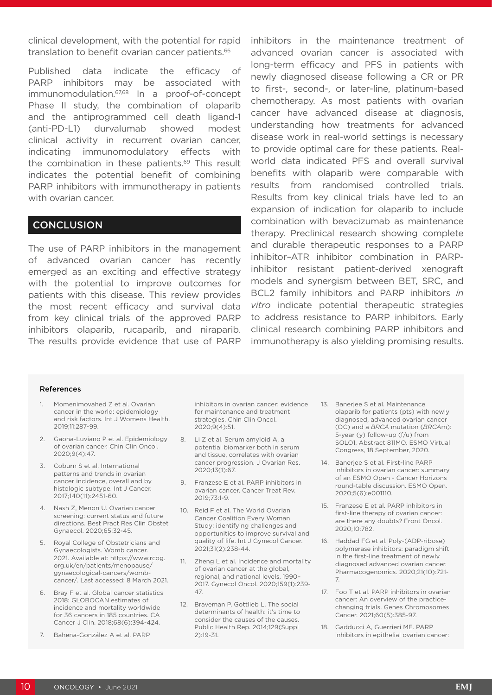clinical development, with the potential for rapid translation to benefit ovarian cancer patients.<sup>66</sup>

Published data indicate the efficacy of PARP inhibitors may be associated with immunomodulation.67,68 In a proof-of-concept Phase II study, the combination of olaparib and the antiprogrammed cell death ligand-1 (anti-PD-L1) durvalumab showed modest clinical activity in recurrent ovarian cancer, indicating immunomodulatory effects with the combination in these patients.<sup>69</sup> This result indicates the potential benefit of combining PARP inhibitors with immunotherapy in patients with ovarian cancer.

#### **CONCLUSION**

The use of PARP inhibitors in the management of advanced ovarian cancer has recently emerged as an exciting and effective strategy with the potential to improve outcomes for patients with this disease. This review provides the most recent efficacy and survival data from key clinical trials of the approved PARP inhibitors olaparib, rucaparib, and niraparib. The results provide evidence that use of PARP

inhibitors in the maintenance treatment of advanced ovarian cancer is associated with long-term efficacy and PFS in patients with newly diagnosed disease following a CR or PR to first-, second-, or later-line, platinum-based chemotherapy. As most patients with ovarian cancer have advanced disease at diagnosis, understanding how treatments for advanced disease work in real-world settings is necessary to provide optimal care for these patients. Realworld data indicated PFS and overall survival benefits with olaparib were comparable with results from randomised controlled trials. Results from key clinical trials have led to an expansion of indication for olaparib to include combination with bevacizumab as maintenance therapy. Preclinical research showing complete and durable therapeutic responses to a PARP inhibitor–ATR inhibitor combination in PARPinhibitor resistant patient-derived xenograft models and synergism between BET, SRC, and BCL2 family inhibitors and PARP inhibitors *in vitro* indicate potential therapeutic strategies to address resistance to PARP inhibitors. Early clinical research combining PARP inhibitors and immunotherapy is also yielding promising results.

#### References

- 1. Momenimovahed Z et al. Ovarian cancer in the world: epidemiology and risk factors. Int J Womens Health. 2019;11:287-99.
- 2. Gaona-Luviano P et al. Epidemiology of ovarian cancer. Chin Clin Oncol. 2020;9(4):47.
- 3. Coburn S et al. International patterns and trends in ovarian cancer incidence, overall and by histologic subtype. Int J Cancer. 2017;140(11):2451-60.
- 4. Nash Z, Menon U. Ovarian cancer screening: current status and future directions. Best Pract Res Clin Obstet Gynaecol. 2020;65:32-45.
- 5. Royal College of Obstetricians and Gynaecologists. Womb cancer. 2021. Available at: https://www.rcog. org.uk/en/patients/menopause/ gynaecological-cancers/wombcancer/. Last accessed: 8 March 2021.
- 6. Bray F et al. Global cancer statistics 2018: GLOBOCAN estimates of incidence and mortality worldwide for 36 cancers in 185 countries. CA Cancer J Clin. 2018;68(6):394-424.
- 7. Bahena-González A et al. PARP

inhibitors in ovarian cancer: evidence for maintenance and treatment strategies. Chin Clin Oncol. 2020;9(4):51.

- 8. Li Z et al. Serum amyloid A, a potential biomarker both in serum and tissue, correlates with ovarian cancer progression. J Ovarian Res. 2020;13(1):67.
- 9. Franzese E et al. PARP inhibitors in ovarian cancer. Cancer Treat Rev. 2019;73:1-9.
- 10. Reid F et al. The World Ovarian Cancer Coalition Every Woman Study: identifying challenges and opportunities to improve survival and quality of life. Int J Gynecol Cancer. 2021;31(2):238-44.
- 11. Zheng L et al. Incidence and mortality of ovarian cancer at the global, regional, and national levels, 1990– 2017. Gynecol Oncol. 2020;159(1):239- 47.
- 12. Braveman P, Gottlieb L. The social determinants of health: it's time to consider the causes of the causes. Public Health Rep. 2014;129(Suppl 2):19-31.
- 13. Banerjee S et al. Maintenance olaparib for patients (pts) with newly diagnosed, advanced ovarian cancer (OC) and a *BRCA* mutation (*BRCA*m): 5-year (y) follow-up (f/u) from SOLO1. Abstract 811MO. ESMO Virtual Congress, 18 September, 2020.
- 14. Banerjee S et al. First-line PARP inhibitors in ovarian cancer: summary of an ESMO Open - Cancer Horizons round-table discussion. ESMO Open. 2020;5(6):e001110.
- 15. Franzese E et al. PARP inhibitors in first-line therapy of ovarian cancer: are there any doubts? Front Oncol. 2020;10:782.
- 16. Haddad FG et al. Poly-(ADP-ribose) polymerase inhibitors: paradigm shift in the first-line treatment of newly diagnosed advanced ovarian cancer. Pharmacogenomics. 2020;21(10):721- 7.
- 17. Foo T et al. PARP inhibitors in ovarian cancer: An overview of the practicechanging trials. Genes Chromosomes Cancer. 2021;60(5):385-97.
- 18. Gadducci A, Guerrieri ME. PARP inhibitors in epithelial ovarian cancer: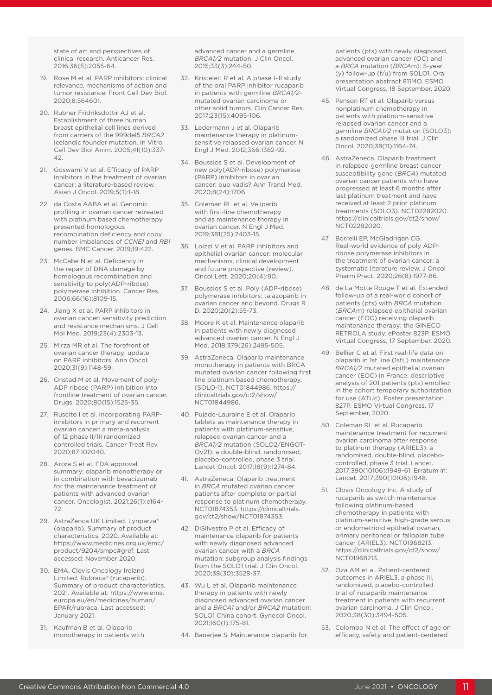state of art and perspectives of clinical research. Anticancer Res. 2016;36(5):2055-64.

- 19. Rose M et al. PARP inhibitors: clinical relevance, mechanisms of action and tumor resistance. Front Cell Dev Biol. 2020;8:564601.
- 20. Rubner Fridriksdottir AJ et al. Establishment of three human breast epithelial cell lines derived from carriers of the 999del5 *BRCA2* Icelandic founder mutation. In Vitro Cell Dev Biol Anim. 2005;41(10):337-  $42$
- 21. Goswami V et al. Efficacy of PARP inhibitors in the treatment of ovarian cancer: a literature-based review. Asian J Oncol. 2019;5(1):1-18.
- 22. da Costa AABA et al. Genomic profiling in ovarian cancer retreated with platinum based chemotherapy presented homologous recombination deficiency and copy number imbalances of *CCNE1* and *RB1*  genes. BMC Cancer. 2019;19:422.
- 23. McCabe N et al. Deficiency in the repair of DNA damage by homologous recombination and sensitivity to poly(ADP-ribose) polymerase inhibition. Cancer Res. 2006;66(16):8109-15.
- 24. Jiang X et al. PARP inhibitors in ovarian cancer: sensitivity prediction and resistance mechanisms. J Cell Mol Med. 2019;23(4):2303-13.
- 25. Mirza MR et al. The forefront of ovarian cancer therapy: update on PARP inhibitors. Ann Oncol. 2020;31(9):1148-59.
- 26. Onstad M et al. Movement of poly-ADP ribose (PARP) inhibition into frontline treatment of ovarian cancer. Drugs. 2020;80(15):1525-35.
- 27. Ruscito I et al. Incorporating PARPinhibitors in primary and recurrent ovarian cancer: a meta-analysis of 12 phase II/III randomized controlled trials. Cancer Treat Rev. 2020;87:102040.
- 28. Arora S et al. FDA approval summary: olaparib monotherapy or in combination with bevacizumab for the maintenance treatment of patients with advanced ovarian cancer. Oncologist. 2021;26(1):e164- 72.
- 29. AstraZenca UK Limited. Lynparza® (olaparib). Summary of product characteristics. 2020. Available at: https://www.medicines.org.uk/emc/ product/9204/smpc#gref. Last accessed: November 2020.
- 30. EMA. Clovis Oncology Ireland Limited. Rubraca® (rucaparib). Summary of product characteristics. 2021. Available at: https://www.ema. europa.eu/en/medicines/human/ EPAR/rubraca. Last accessed: January 2021.
- 31. Kaufman B et al. Olaparib monotherapy in patients with

advanced cancer and a germline *BRCA1/2* mutation. J Clin Oncol. 2015;33(3):244-50.

- 32. Kristeleit R et al. A phase I–II study of the oral PARP inhibitor rucaparib in patients with germline *BRCA1/2* mutated ovarian carcinoma or other solid tumors. Clin Cancer Res. 2017;23(15):4095-106.
- 33. Ledermann J et al. Olaparib maintenance therapy in platinumsensitive relapsed ovarian cancer. N Engl J Med. 2012;366:1382-92.
- 34. Boussios S et al. Development of new poly(ADP-ribose) polymerase (PARP) inhibitors in ovarian cancer: quo vadis? Ann Transl Med. 2020;8(24):1706.
- 35. Coleman RL et al. Veliparib with first-line chemotherapy and as maintenance therapy in ovarian cancer. N Engl J Med. 2019;381(25):2403-15.
- 36. Loizzi V et al. PARP inhibitors and epithelial ovarian cancer: molecular mechanisms, clinical development and future prospective (review). Oncol Lett. 2020;20(4):90.
- 37. Boussios S et al. Poly (ADP-ribose) polymerase inhibitors: talazoparib in ovarian cancer and beyond. Drugs R D. 2020;20(2):55-73.
- 38. Moore K et al. Maintenance olaparib in patients with newly diagnosed advanced ovarian cancer. N Engl J Med. 2018;379(26):2495-505.
- 39. AstraZeneca. Olaparib maintenance monotherapy in patients with BRCA mutated ovarian cancer following first line platinum based chemotherapy. (SOLO-1). NCT01844986. https:// clinicaltrials.gov/ct2/show/ NCT01844986.
- 40. Pujade-Lauraine E et al. Olaparib tablets as maintenance therapy in patients with platinum-sensitive, relapsed ovarian cancer and a *BRCA1/2* mutation (SOLO2/ENGOT-Ov21): a double-blind, randomised, placebo-controlled, phase 3 trial. Lancet Oncol. 2017;18(9):1274-84.
- 41. AstraZeneca. Olaparib treatment in *BRCA* mutated ovarian cancer patients after complete or partial response to platinum chemotherapy. NCT01874353. https://clinicaltrials. gov/ct2/show/NCT01874353.
- 42. DiSilvestro P et al. Efficacy of maintenance olaparib for patients with newly diagnosed advanced ovarian cancer with a *BRCA*  mutation: subgroup analysis findings from the SOLO1 trial. J Clin Oncol. 2020;38(30):3528-37.
- 43. Wu L et al. Olaparib maintenance therapy in patients with newly diagnosed advanced ovarian cancer and a *BRCA1* and/or *BRCA2* mutation: SOLO1 China cohort. Gynecol Oncol. 2021;160(1):175-81.
- 44. Banarjee S. Maintenance olaparib for

patients (pts) with newly diagnosed, advanced ovarian cancer (OC) and a *BRCA* mutation (*BRCA*m): 5-year (y) follow-up (f/u) from SOLO1. Oral presentation abstract 811MO. ESMO Virtual Congress, 18 September, 2020.

- 45. Penson RT et al. Olaparib versus nonplatinum chemotherapy in patients with platinum-sensitive relapsed ovarian cancer and a germline *BRCA1/2* mutation (SOLO3): a randomized phase III trial. J Clin Oncol. 2020;38(11):1164-74.
- 46. AstraZeneca. Olaparib treatment in relapsed germline breast cancer susceptibility gene (*BRCA*) mutated ovarian cancer patients who have progressed at least 6 months after last platinum treatment and have received at least 2 prior platinum treatments (SOLO3). NCT02282020. https://clinicaltrials.gov/ct2/show/ NCT02282020.
- 47. Borrelli EP, McGladrigan CG. Real-world evidence of poly ADPribose polymerase inhibitors in the treatment of ovarian cancer: a systematic literature review. J Oncol Pharm Pract. 2020;26(8):1977-86.
- 48. de La Motte Rouge T et al. Extended follow-up of a real-world cohort of patients (pts) with *BRCA* mutation (*BRCA*m) relapsed epithelial ovarian cancer (EOC) receiving olaparib maintenance therapy: the GINECO RETROLA study. ePoster 823P. ESMO Virtual Congress, 17 September, 2020.
- 49. Bellier C et al. First real-life data on olaparib in 1st line (1stL) maintenance *BRCA1/2* mutated epithelial ovarian cancer (EOC) in France: descriptive analysis of 201 patients (pts) enrolled in the cohort temporary authorization for use (ATUc). Poster presentation 827P. ESMO Virtual Congress, 17 September, 2020.
- 50. Coleman RL et al. Rucaparib maintenance treatment for recurrent ovarian carcinoma after response to platinum therapy (ARIEL3): a randomised, double-blind, placebocontrolled, phase 3 trial. Lancet. 2017;390(10106):1949-61. Erratum in: Lancet. 2017;390(10106):1948.
- 51. Clovis Oncology Inc. A study of rucaparib as switch maintenance following platinum-based chemotherapy in patients with platinum-sensitive, high-grade serous or endometrioid epithelial ovarian, primary peritoneal or fallopian tube cancer (ARIEL3). NCT01968213. https://clinicaltrials.gov/ct2/show/ NCT01968213.
- 52. Oza AM et al. Patient-centered outcomes in ARIEL3, a phase III, randomized, placebo-controlled trial of rucaparib maintenance treatment in patients with recurrent ovarian carcinoma. J Clin Oncol. 2020;38(30):3494-505.
- 53. Colombo N et al. The effect of age on efficacy, safety and patient-centered